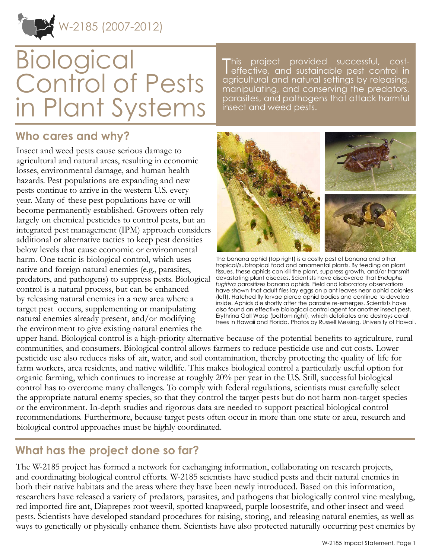

# **Biological** Control of Pests in Plant Systems

This project provided successful, cost-<br>effective, and sustainable pest control in This project provided successful, costagricultural and natural settings by releasing, manipulating, and conserving the predators, parasites, and pathogens that attack harmful insect and weed pests.

#### **Who cares and why?**

Insect and weed pests cause serious damage to agricultural and natural areas, resulting in economic losses, environmental damage, and human health hazards. Pest populations are expanding and new pests continue to arrive in the western U.S. every year. Many of these pest populations have or will become permanently established. Growers often rely largely on chemical pesticides to control pests, but an integrated pest management (IPM) approach considers additional or alternative tactics to keep pest densities below levels that cause economic or environmental harm. One tactic is biological control, which uses native and foreign natural enemies (e.g., parasites, predators, and pathogens) to suppress pests. Biological control is a natural process, but can be enhanced by releasing natural enemies in a new area where a target pest occurs, supplementing or manipulating natural enemies already present, and/or modifying the environment to give existing natural enemies the



The banana aphid (top right) is a costly pest of banana and other tropical/subtropical food and ornamental plants. By feeding on plant tissues, these aphids can kill the plant, suppress growth, and/or transmit devastating plant diseases. Scientists have discovered that *Endaphis fugitiva* parasitizes banana aphids. Field and laboratory observations have shown that adult flies lay eggs on plant leaves near aphid colonies (left). Hatched fly larvae pierce aphid bodies and continue to develop inside. Aphids die shortly after the parasite re-emerges. Scientists have also found an effective biological control agent for another insect pest, Erythrina Gall Wasp (bottom right), which defoliates and destroys coral trees in Hawaii and Florida. Photos by Russell Messing, University of Hawaii.

upper hand. Biological control is a high-priority alternative because of the potential benefits to agriculture, rural communities, and consumers. Biological control allows farmers to reduce pesticide use and cut costs. Lower pesticide use also reduces risks of air, water, and soil contamination, thereby protecting the quality of life for farm workers, area residents, and native wildlife. This makes biological control a particularly useful option for organic farming, which continues to increase at roughly 20% per year in the U.S. Still, successful biological control has to overcome many challenges. To comply with federal regulations, scientists must carefully select the appropriate natural enemy species, so that they control the target pests but do not harm non-target species or the environment. In-depth studies and rigorous data are needed to support practical biological control recommendations. Furthermore, because target pests often occur in more than one state or area, research and biological control approaches must be highly coordinated.

## **What has the project done so far?**

The W-2185 project has formed a network for exchanging information, collaborating on research projects, and coordinating biological control efforts. W-2185 scientists have studied pests and their natural enemies in both their native habitats and the areas where they have been newly introduced. Based on this information, researchers have released a variety of predators, parasites, and pathogens that biologically control vine mealybug, red imported fire ant, Diaprepes root weevil, spotted knapweed, purple loosestrife, and other insect and weed pests. Scientists have developed standard procedures for raising, storing, and releasing natural enemies, as well as ways to genetically or physically enhance them. Scientists have also protected naturally occurring pest enemies by